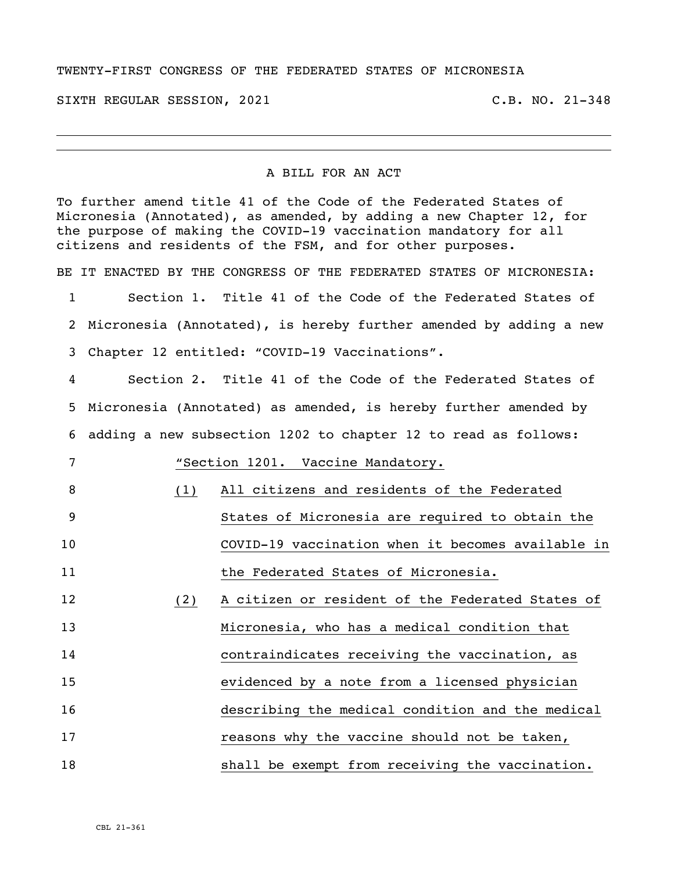## TWENTY-FIRST CONGRESS OF THE FEDERATED STATES OF MICRONESIA

SIXTH REGULAR SESSION, 2021 C.B. NO. 21-348

## A BILL FOR AN ACT

To further amend title 41 of the Code of the Federated States of Micronesia (Annotated), as amended, by adding a new Chapter 12, for the purpose of making the COVID-19 vaccination mandatory for all citizens and residents of the FSM, and for other purposes. BE IT ENACTED BY THE CONGRESS OF THE FEDERATED STATES OF MICRONESIA:

 Section 1. Title 41 of the Code of the Federated States of Micronesia (Annotated), is hereby further amended by adding a new Chapter 12 entitled: "COVID-19 Vaccinations".

 Section 2. Title 41 of the Code of the Federated States of Micronesia (Annotated) as amended, is hereby further amended by adding a new subsection 1202 to chapter 12 to read as follows:

- "Section 1201. Vaccine Mandatory.
- (1) All citizens and residents of the Federated States of Micronesia are required to obtain the COVID-19 vaccination when it becomes available in **11** the Federated States of Micronesia.
- (2) A citizen or resident of the Federated States of Micronesia, who has a medical condition that contraindicates receiving the vaccination, as evidenced by a note from a licensed physician describing the medical condition and the medical **reasons why the vaccine should not be taken,** 18 shall be exempt from receiving the vaccination.